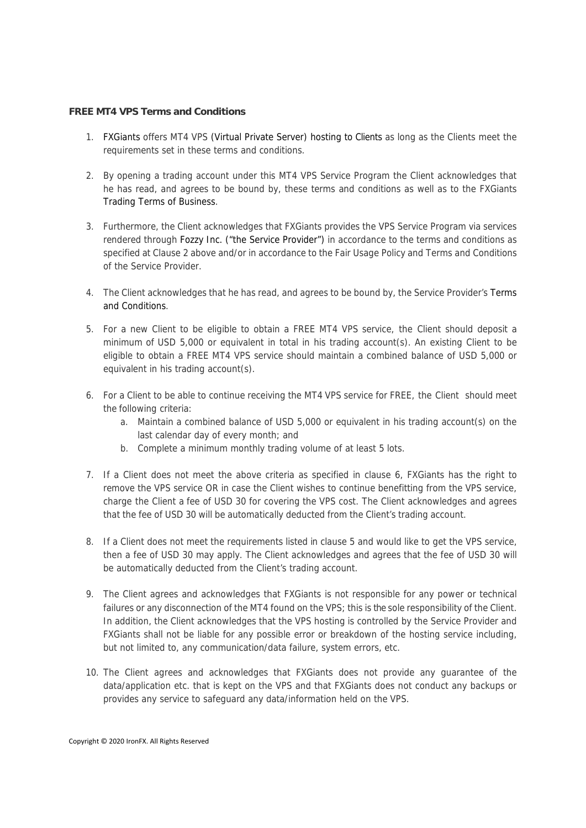## **FREE MT4 VPS Terms and Conditions**

- 1. FXGiants offers MT4 VPS (Virtual Private Server) hosting to Clients as long as the Clients meet the requirements set in these terms and conditions.
- 2. By opening a trading account under this MT4 VPS Service Program the Client acknowledges that he has read, and agrees to be bound by, these terms and conditions as well as to the FXGiants Trading Terms of Business.
- 3. Furthermore, the Client acknowledges that FXGiants provides the VPS Service Program via services rendered through Fozzy Inc. ("the Service Provider") in accordance to the terms and conditions as specified at Clause 2 above and/or in accordance to the Fair Usage Policy and Terms and Conditions of the Service Provider.
- 4. The Client acknowledges that he has read, and agrees to be bound by, the Service Provider's Terms and Conditions.
- 5. For a new Client to be eligible to obtain a FREE MT4 VPS service, the Client should deposit a minimum of USD 5,000 or equivalent in total in his trading account(s). An existing Client to be eligible to obtain a FREE MT4 VPS service should maintain a combined balance of USD 5,000 or equivalent in his trading account(s).
- 6. For a Client to be able to continue receiving the MT4 VPS service for FREE, the Client should meet the following criteria:
	- a. Maintain a combined balance of USD 5,000 or equivalent in his trading account(s) on the last calendar day of every month; and
	- b. Complete a minimum monthly trading volume of at least 5 lots.
- 7. If a Client does not meet the above criteria as specified in clause 6, FXGiants has the right to remove the VPS service OR in case the Client wishes to continue benefitting from the VPS service, charge the Client a fee of USD 30 for covering the VPS cost. The Client acknowledges and agrees that the fee of USD 30 will be automatically deducted from the Client's trading account.
- 8. If a Client does not meet the requirements listed in clause 5 and would like to get the VPS service, then a fee of USD 30 may apply. The Client acknowledges and agrees that the fee of USD 30 will be automatically deducted from the Client's trading account.
- 9. The Client agrees and acknowledges that FXGiants is not responsible for any power or technical failures or any disconnection of the MT4 found on the VPS; this is the sole responsibility of the Client. In addition, the Client acknowledges that the VPS hosting is controlled by the Service Provider and FXGiants shall not be liable for any possible error or breakdown of the hosting service including, but not limited to, any communication/data failure, system errors, etc.
- 10. The Client agrees and acknowledges that FXGiants does not provide any guarantee of the data/application etc. that is kept on the VPS and that FXGiants does not conduct any backups or provides any service to safeguard any data/information held on the VPS.